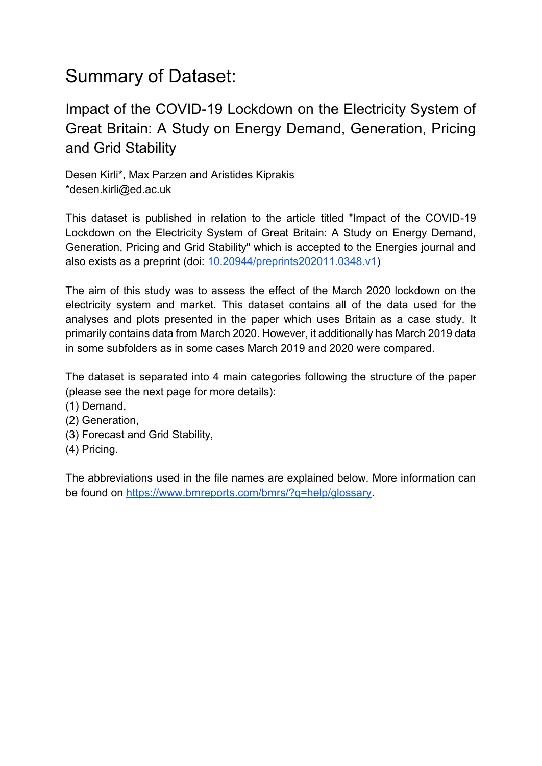## Summary of Dataset:

Impact of the COVID-19 Lockdown on the Electricity System of Great Britain: A Study on Energy Demand, Generation, Pricing and Grid Stability

Desen Kirli\*, Max Parzen and Aristides Kiprakis \*desen.kirli@ed.ac.uk

This dataset is published in relation to the article titled "Impact of the COVID-19 Lockdown on the Electricity System of Great Britain: A Study on Energy Demand, Generation, Pricing and Grid Stability" which is accepted to the Energies journal and also exists as a preprint (doi: [10.20944/preprints202011.0348.v1\)](https://www.preprints.org/manuscript/202011.0348/v1)

The aim of this study was to assess the effect of the March 2020 lockdown on the electricity system and market. This dataset contains all of the data used for the analyses and plots presented in the paper which uses Britain as a case study. It primarily contains data from March 2020. However, it additionally has March 2019 data in some subfolders as in some cases March 2019 and 2020 were compared.

The dataset is separated into 4 main categories following the structure of the paper (please see the next page for more details):

- (1) Demand,
- (2) Generation,
- (3) Forecast and Grid Stability,
- (4) Pricing.

The abbreviations used in the file names are explained below. More information can be found on [https://www.bmreports.com/bmrs/?q=help/glossary.](https://www.bmreports.com/bmrs/?q=help/glossary)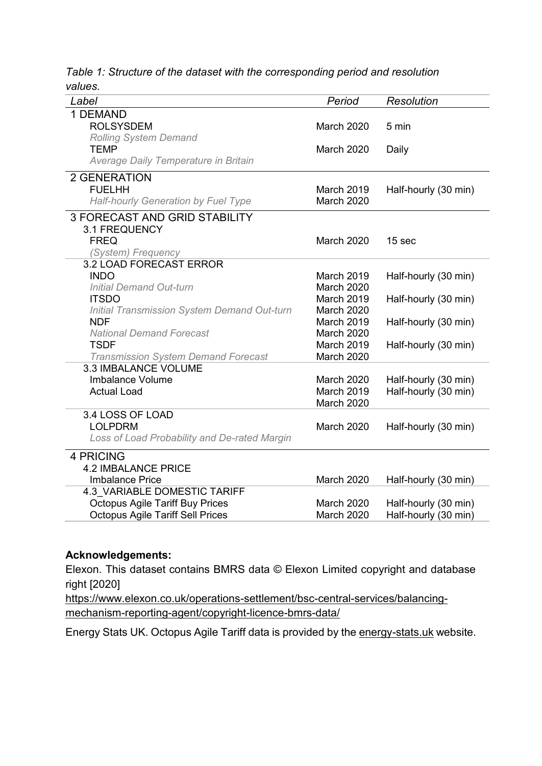*Table 1: Structure of the dataset with the corresponding period and resolution values.*

| Period            | Resolution                      |
|-------------------|---------------------------------|
|                   |                                 |
| <b>March 2020</b> | 5 min                           |
|                   |                                 |
| <b>March 2020</b> | Daily                           |
|                   |                                 |
|                   |                                 |
| March 2019        | Half-hourly (30 min)            |
| March 2020        |                                 |
|                   |                                 |
|                   |                                 |
| <b>March 2020</b> | 15 sec                          |
|                   |                                 |
|                   |                                 |
| March 2019        | Half-hourly (30 min)            |
| <b>March 2020</b> |                                 |
| March 2019        | Half-hourly (30 min)            |
| March 2020        |                                 |
| March 2019        | Half-hourly (30 min)            |
| <b>March 2020</b> |                                 |
| March 2019        | Half-hourly (30 min)            |
| March 2020        |                                 |
|                   |                                 |
| March 2020        | Half-hourly (30 min)            |
| <b>March 2019</b> | Half-hourly (30 min)            |
| March 2020        |                                 |
|                   |                                 |
| <b>March 2020</b> | Half-hourly (30 min)            |
|                   |                                 |
|                   |                                 |
|                   |                                 |
|                   | Half-hourly (30 min)            |
|                   |                                 |
|                   | Half-hourly (30 min)            |
| March 2020        | Half-hourly (30 min)            |
|                   | March 2020<br><b>March 2020</b> |

## **Acknowledgements:**

Elexon. This dataset contains BMRS data © Elexon Limited copyright and database right [2020]

[https://www.elexon.co.uk/operations-settlement/bsc-central-services/balancing](https://www.elexon.co.uk/operations-settlement/bsc-central-services/balancing-mechanism-reporting-agent/copyright-licence-bmrs-data/)[mechanism-reporting-agent/copyright-licence-bmrs-data/](https://www.elexon.co.uk/operations-settlement/bsc-central-services/balancing-mechanism-reporting-agent/copyright-licence-bmrs-data/)

Energy Stats UK. Octopus Agile Tariff data is provided by the [energy-stats.uk](file:///C:/Users/s1321483/Downloads/energy-stats.uk) website.